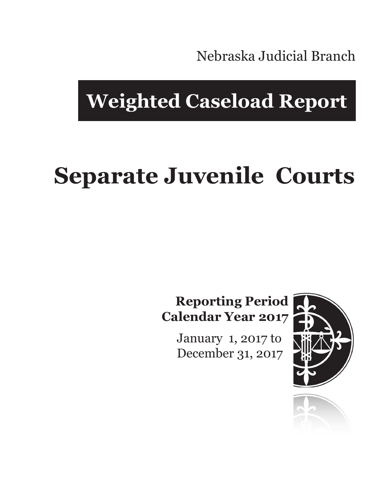Nebraska Judicial Branch

## **Weighted Caseload Report**

# **Separate Juvenile Courts**

#### **Reporting Period Calendar Year 2017**

January 1, 2017 to December 31, 2017



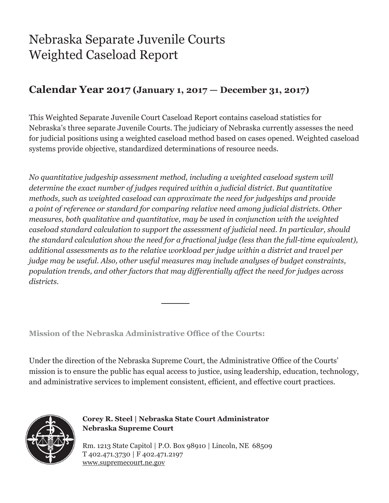### Nebraska Separate Juvenile Courts Weighted Caseload Report

#### **Calendar Year 2017 (January 1, 2017 — December 31, 2017)**

This Weighted Separate Juvenile Court Caseload Report contains caseload statistics for Nebraska's three separate Juvenile Courts. The judiciary of Nebraska currently assesses the need for judicial positions using a weighted caseload method based on cases opened. Weighted caseload systems provide objective, standardized determinations of resource needs.

*No quantitative judgeship assessment method, including a weighted caseload system will determine the exact number of judges required within a judicial district. But quantitative methods, such as weighted caseload can approximate the need for judgeships and provide a point of reference or standard for comparing relative need among judicial districts. Other measures, both qualitative and quantitative, may be used in conjunction with the weighted caseload standard calculation to support the assessment of judicial need. In particular, should the standard calculation show the need for a fractional judge (less than the full-time equivalent), additional assessments as to the relative workload per judge within a district and travel per judge may be useful. Also, other useful measures may include analyses of budget constraints, population trends, and other factors that may differentially affect the need for judges across districts.*

**Mission of the Nebraska Administrative Office of the Courts:**

Under the direction of the Nebraska Supreme Court, the Administrative Office of the Courts' mission is to ensure the public has equal access to justice, using leadership, education, technology, and administrative services to implement consistent, efficient, and effective court practices.



**Corey R. Steel | Nebraska State Court Administrator Nebraska Supreme Court**

Rm. 1213 State Capitol | P.O. Box 98910 | Lincoln, NE 68509 T 402.471.3730 | F 402.471.2197 www.supremecourt.ne.gov